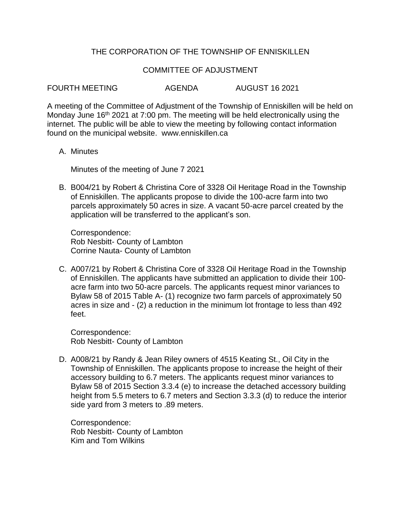## THE CORPORATION OF THE TOWNSHIP OF ENNISKILLEN

## COMMITTEE OF ADJUSTMENT

FOURTH MEETING AGENDA AUGUST 16 2021

A meeting of the Committee of Adjustment of the Township of Enniskillen will be held on Monday June 16<sup>th</sup> 2021 at 7:00 pm. The meeting will be held electronically using the internet. The public will be able to view the meeting by following contact information found on the municipal website. www.enniskillen.ca

A. Minutes

Minutes of the meeting of June 7 2021

B. B004/21 by Robert & Christina Core of 3328 Oil Heritage Road in the Township of Enniskillen. The applicants propose to divide the 100-acre farm into two parcels approximately 50 acres in size. A vacant 50-acre parcel created by the application will be transferred to the applicant's son.

Correspondence: Rob Nesbitt- County of Lambton Corrine Nauta- County of Lambton

C. A007/21 by Robert & Christina Core of 3328 Oil Heritage Road in the Township of Enniskillen. The applicants have submitted an application to divide their 100 acre farm into two 50-acre parcels. The applicants request minor variances to Bylaw 58 of 2015 Table A- (1) recognize two farm parcels of approximately 50 acres in size and - (2) a reduction in the minimum lot frontage to less than 492 feet.

Correspondence: Rob Nesbitt- County of Lambton

D. A008/21 by Randy & Jean Riley owners of 4515 Keating St., Oil City in the Township of Enniskillen. The applicants propose to increase the height of their accessory building to 6.7 meters. The applicants request minor variances to Bylaw 58 of 2015 Section 3.3.4 (e) to increase the detached accessory building height from 5.5 meters to 6.7 meters and Section 3.3.3 (d) to reduce the interior side yard from 3 meters to .89 meters.

Correspondence: Rob Nesbitt- County of Lambton Kim and Tom Wilkins